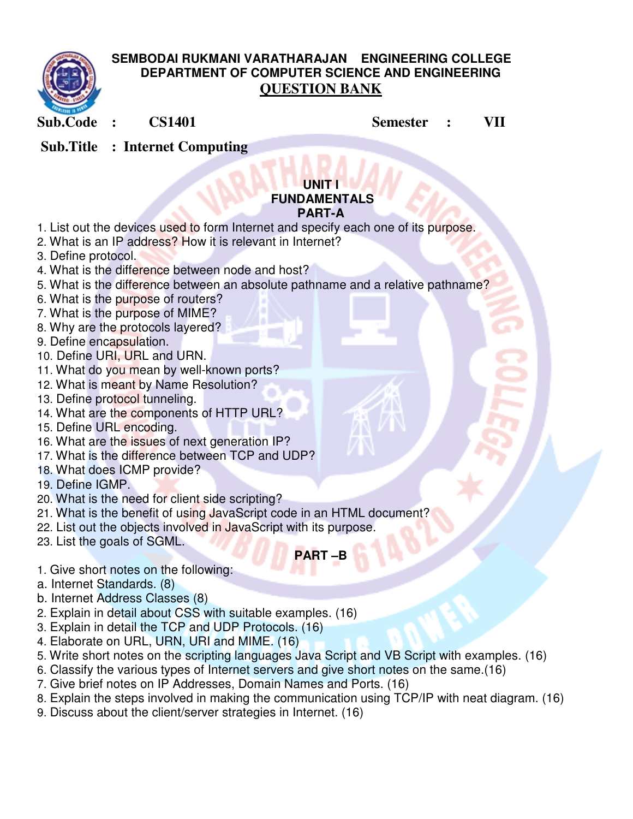

## **SEMBODAI RUKMANI VARATHARAJAN ENGINEERING COLLEGE DEPARTMENT OF COMPUTER SCIENCE AND ENGINEERING QUESTION BANK**

**Sub.Code : CS1401 Semester : VII** 

 **Sub.Title : Internet Computing**

#### **UNIT I FUNDAMENTALS PART-A**

- 1. List out the devices used to form Internet and specify each one of its purpose.
- 2. What is an IP address? How it is relevant in Internet?
- 3. Define protocol.
- 4. What is the difference between node and host?
- 5. What is the difference between an absolute pathname and a relative pathname?
- 6. What is the purpose of routers?
- 7. What is the purpose of MIME?
- 8. Why are the protocols layered?
- 9. Define encapsulation.
- 10. Define URI, URL and URN.
- 11. What do you mean by well-known ports?
- 12. What is meant by Name Resolution?
- 13. Define protocol tunneling.
- 14. What are the components of HTTP URL?
- 15. Define URL encoding.
- 16. What are the issues of next generation IP?
- 17. What is the difference between TCP and UDP?
- 18. What does ICMP provide?
- 19. Define IGMP.
- 20. What is the need for client side scripting?
- 21. What is the benefit of using JavaScript code in an HTML document?
- 22. List out the objects involved in JavaScript with its purpose.
- 23. List the goals of SGML.

# **PART –B**

- 1. Give short notes on the following:
- a. Internet Standards. (8)
- b. Internet Address Classes (8)
- 2. Explain in detail about CSS with suitable examples. (16)
- 3. Explain in detail the TCP and UDP Protocols. (16)
- 4. Elaborate on URL, URN, URI and MIME. (16)
- 5. Write short notes on the scripting languages Java Script and VB Script with examples. (16)
- 6. Classify the various types of Internet servers and give short notes on the same.(16)
- 7. Give brief notes on IP Addresses, Domain Names and Ports. (16)
- 8. Explain the steps involved in making the communication using TCP/IP with neat diagram. (16)
- 9. Discuss about the client/server strategies in Internet. (16)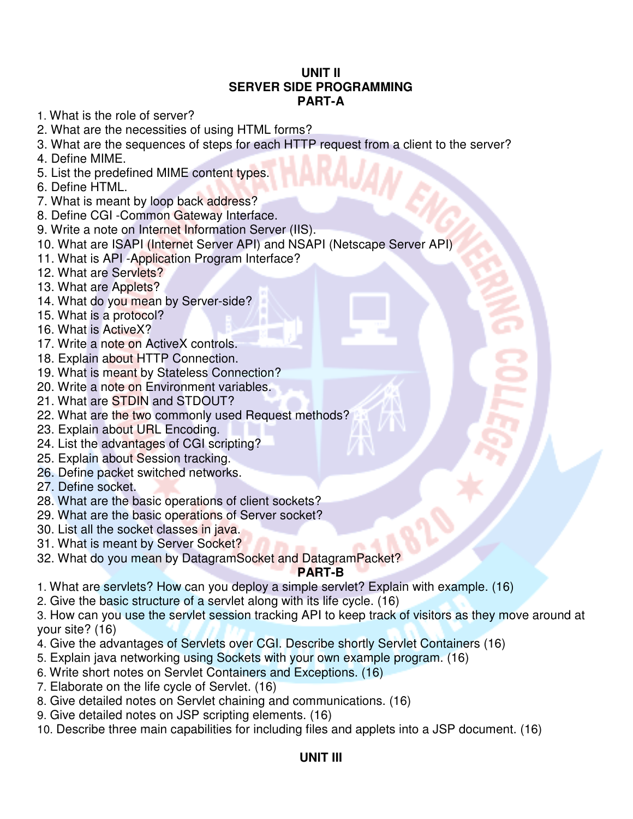### **UNIT II SERVER SIDE PROGRAMMING PART-A**

- 1. What is the role of server?
- 2. What are the necessities of using HTML forms?
- 3. What are the sequences of steps for each HTTP request from a client to the server?
- 4. Define MIME.
- 5. List the predefined MIME content types.
- 6. Define HTML.
- 7. What is meant by loop back address?
- 8. Define CGI -Common Gateway Interface.
- 9. Write a note on Internet Information Server (IIS).
- 10. What are ISAPI (Internet Server API) and NSAPI (Netscape Server API)
- 11. What is API -Application Program Interface?
- 12. What are Servlets?
- 13. What are Applets?
- 14. What do you mean by Server-side?
- 15. What is a protocol?
- 16. What is ActiveX?
- 17. Write a note on ActiveX controls.
- 18. Explain about HTTP Connection.
- 19. What is meant by Stateless Connection?
- 20. Write a note on Environment variables.
- 21. What are STDIN and STDOUT?
- 22. What are the two commonly used Request methods?
- 23. Explain about URL Encoding.
- 24. List the advantages of CGI scripting?
- 25. Explain about Session tracking.
- 26. Define packet switched networks.
- 27. Define socket.
- 28. What are the basic operations of client sockets?
- 29. What are the basic operations of Server socket?
- 30. List all the socket classes in java.
- 31. What is meant by Server Socket?
- 32. What do you mean by DatagramSocket and DatagramPacket?

### **PART-B**

- 1. What are servlets? How can you deploy a simple servlet? Explain with example. (16)
- 2. Give the basic structure of a servlet along with its life cycle. (16)
- 3. How can you use the servlet session tracking API to keep track of visitors as they move around at your site? (16)
- 4. Give the advantages of Servlets over CGI. Describe shortly Servlet Containers (16)
- 5. Explain java networking using Sockets with your own example program. (16)
- 6. Write short notes on Servlet Containers and Exceptions. (16)
- 7. Elaborate on the life cycle of Servlet. (16)
- 8. Give detailed notes on Servlet chaining and communications. (16)
- 9. Give detailed notes on JSP scripting elements. (16)
- 10. Describe three main capabilities for including files and applets into a JSP document. (16)

### **UNIT III**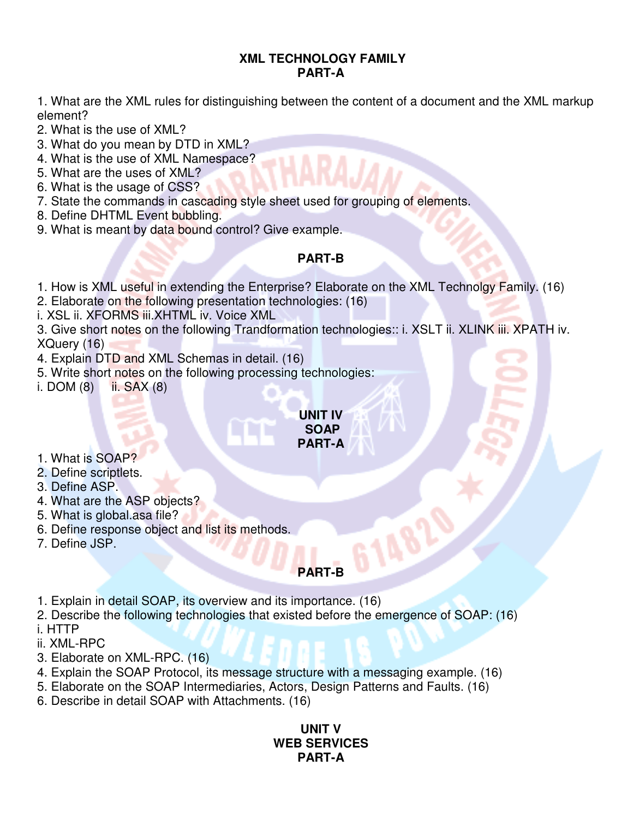### **XML TECHNOLOGY FAMILY PART-A**

1. What are the XML rules for distinguishing between the content of a document and the XML markup element?

2. What is the use of XML?

- 3. What do you mean by DTD in XML?
- 4. What is the use of XML Namespace?
- 5. What are the uses of XML?
- 6. What is the usage of CSS?
- 7. State the commands in cascading style sheet used for grouping of elements.
- 8. Define DHTML Event bubbling.
- 9. What is meant by data bound control? Give example.

## **PART-B**

1. How is XML useful in extending the Enterprise? Elaborate on the XML Technolgy Family. (16)

2. Elaborate on the following presentation technologies: (16)

i. XSL ii. XFORMS iii.XHTML iv. Voice XML

3. Give short notes on the following Trandformation technologies:: i. XSLT ii. XLINK iii. XPATH iv. XQuery (16)

4. Explain DTD and XML Schemas in detail. (16)

5. Write short notes on the following processing technologies:

i. DOM  $(8)$  ii. SAX  $(8)$ 

#### **UNIT IV SOAP PART-A**

- 1. What is SOAP?
- 2. Define scriptlets.
- 3. Define ASP.
- 4. What are the ASP objects?
- 5. What is global.asa file?
- 6. Define response object and list its methods.
- 7. Define JSP.

# **PART-B**

**G148** 

1. Explain in detail SOAP, its overview and its importance. (16)

2. Describe the following technologies that existed before the emergence of SOAP: (16) i. HTTP

- ii. XML-RPC
- 3. Elaborate on XML-RPC. (16)
- 4. Explain the SOAP Protocol, its message structure with a messaging example. (16)
- 5. Elaborate on the SOAP Intermediaries, Actors, Design Patterns and Faults. (16)
- 6. Describe in detail SOAP with Attachments. (16)

## **UNIT V WEB SERVICES PART-A**